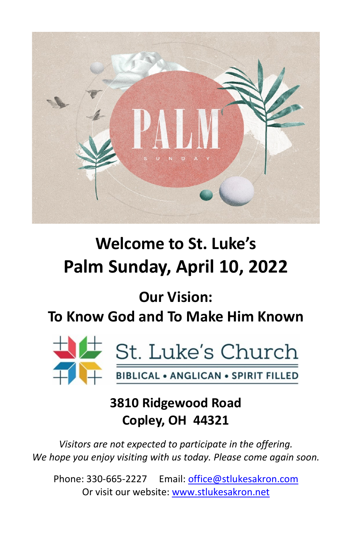

# **Welcome to St. Luke's Palm Sunday, April 10, 2022**

**Our Vision:**

## **To Know God and To Make Him Known**



## **3810 Ridgewood Road Copley, OH 44321**

*Visitors are not expected to participate in the offering. We hope you enjoy visiting with us today. Please come again soon.* 

Phone: 330-665-2227 Email: [office@stlukesakron.com](mailto:office@stlukesakron.com) Or visit our website: [www.stlukesakron.net](http://www.stlukesakron.net/)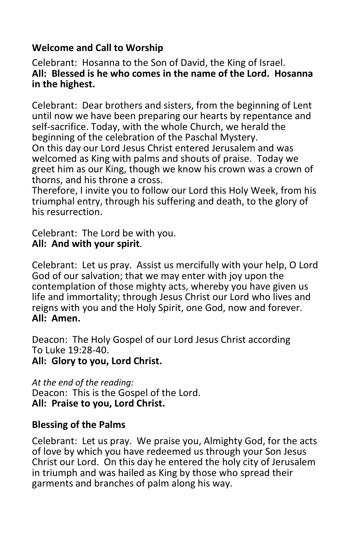## **Welcome and Call to Worship**

Celebrant: Hosanna to the Son of David, the King of Israel. **All: Blessed is he who comes in the name of the Lord. Hosanna in the highest.**

Celebrant: Dear brothers and sisters, from the beginning of Lent until now we have been preparing our hearts by repentance and self-sacrifice. Today, with the whole Church, we herald the beginning of the celebration of the Paschal Mystery.

On this day our Lord Jesus Christ entered Jerusalem and was welcomed as King with palms and shouts of praise. Today we greet him as our King, though we know his crown was a crown of thorns, and his throne a cross.

Therefore, I invite you to follow our Lord this Holy Week, from his triumphal entry, through his suffering and death, to the glory of his resurrection.

Celebrant: The Lord be with you. **All: And with your spirit**.

Celebrant: Let us pray. Assist us mercifully with your help, O Lord God of our salvation; that we may enter with joy upon the contemplation of those mighty acts, whereby you have given us life and immortality; through Jesus Christ our Lord who lives and reigns with you and the Holy Spirit, one God, now and forever. **All: Amen.**

Deacon: The Holy Gospel of our Lord Jesus Christ according To Luke 19:28-40.

**All: Glory to you, Lord Christ.**

*At the end of the reading:* Deacon: This is the Gospel of the Lord. **All: Praise to you, Lord Christ.**

## **Blessing of the Palms**

Celebrant: Let us pray. We praise you, Almighty God, for the acts of love by which you have redeemed us through your Son Jesus Christ our Lord. On this day he entered the holy city of Jerusalem in triumph and was hailed as King by those who spread their garments and branches of palm along his way.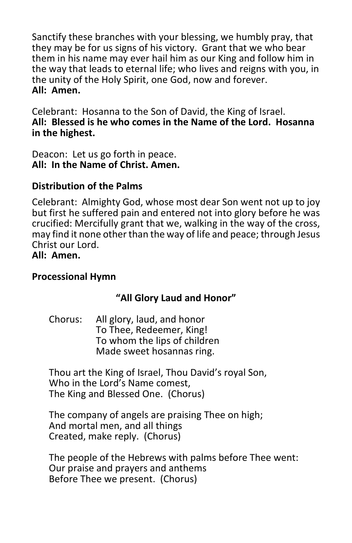Sanctify these branches with your blessing, we humbly pray, that they may be for us signs of his victory. Grant that we who bear them in his name may ever hail him as our King and follow him in the way that leads to eternal life; who lives and reigns with you, in the unity of the Holy Spirit, one God, now and forever. **All: Amen.**

Celebrant: Hosanna to the Son of David, the King of Israel. **All: Blessed is he who comes in the Name of the Lord. Hosanna in the highest.** 

Deacon: Let us go forth in peace. **All: In the Name of Christ. Amen.**

#### **Distribution of the Palms**

Celebrant: Almighty God, whose most dear Son went not up to joy but first he suffered pain and entered not into glory before he was crucified: Mercifully grant that we, walking in the way of the cross, may find it none other than the way of life and peace; through Jesus Christ our Lord.

#### **All: Amen.**

#### **Processional Hymn**

## **"All Glory Laud and Honor"**

#### Chorus: All glory, laud, and honor To Thee, Redeemer, King! To whom the lips of children Made sweet hosannas ring.

Thou art the King of Israel, Thou David's royal Son, Who in the Lord's Name comest, The King and Blessed One. (Chorus)

 The company of angels are praising Thee on high; And mortal men, and all things Created, make reply. (Chorus)

The people of the Hebrews with palms before Thee went:<br>Our praise and prayers and anthems<br>Before Thee we present. (Chorus)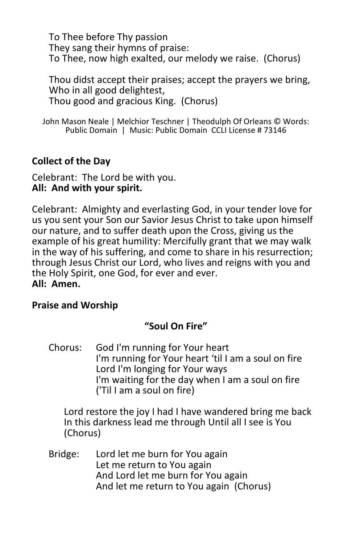To Thee before Thy passion They sang their hymns of praise: To Thee, now high exalted, our melody we raise. (Chorus)

 Thou didst accept their praises; accept the prayers we bring, Who in all good delightest, Thou good and gracious King. (Chorus)

John Mason Neale | Melchior Teschner | Theodulph Of Orleans © Words: Public Domain | Music: Public Domain CCLI License # 73146

## **Collect of the Day**

Celebrant: The Lord be with you. **All: And with your spirit.**

Celebrant: Almighty and everlasting God, in your tender love for us you sent your Son our Savior Jesus Christ to take upon himself our nature, and to suffer death upon the Cross, giving us the example of his great humility: Mercifully grant that we may walk in the way of his suffering, and come to share in his resurrection; through Jesus Christ our Lord, who lives and reigns with you and the Holy Spirit, one God, for ever and ever. **All: Amen.**

#### **Praise and Worship**

## **"Soul On Fire"**

Chorus: God I'm running for Your heart I'm running for Your heart 'til I am a soul on fire Lord I'm longing for Your ways I'm waiting for the day when I am a soul on fire ('Til I am a soul on fire)

Lord restore the joy I had I have wandered bring me back In this darkness lead me through Until all I see is You (Chorus)

Bridge: Lord let me burn for You again Let me return to You again And Lord let me burn for You again And let me return to You again (Chorus)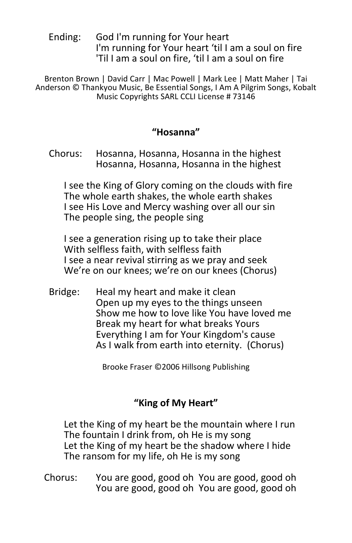#### Ending: God I'm running for Your heart I'm running for Your heart 'til I am a soul on fire 'Til I am a soul on fire, 'til I am a soul on fire

Brenton Brown | David Carr | Mac Powell | Mark Lee | Matt Maher | Tai Anderson © Thankyou Music, Be Essential Songs, I Am A Pilgrim Songs, Kobalt Music Copyrights SARL CCLI License # 73146

#### **"Hosanna"**

 Chorus: Hosanna, Hosanna, Hosanna in the highest Hosanna, Hosanna, Hosanna in the highest

I see the King of Glory coming on the clouds with fire The whole earth shakes, the whole earth shakes I see His Love and Mercy washing over all our sin The people sing, the people sing

 I see a generation rising up to take their place With selfless faith, with selfless faith I see a near revival stirring as we pray and seek We're on our knees; we're on our knees (Chorus)

 Bridge: Heal my heart and make it clean Open up my eyes to the things unseen Show me how to love like You have loved me Break my heart for what breaks Yours Everything I am for Your Kingdom's cause As I walk from earth into eternity. (Chorus)

Brooke Fraser ©2006 Hillsong Publishing

## **"King of My Heart"**

Let the King of my heart be the mountain where I run The fountain I drink from, oh He is my song Let the King of my heart be the shadow where I hide The ransom for my life, oh He is my song

 Chorus: You are good, good oh You are good, good oh You are good, good oh You are good, good oh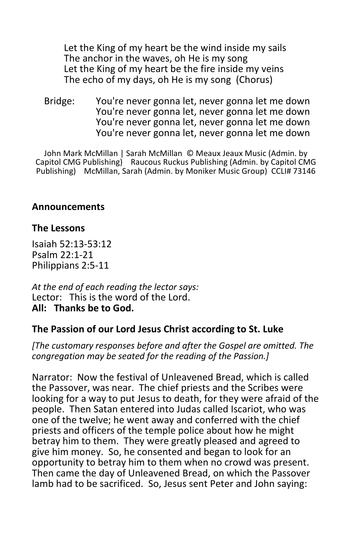Let the King of my heart be the wind inside my sails The anchor in the waves, oh He is my song Let the King of my heart be the fire inside my veins The echo of my days, oh He is my song (Chorus)

 Bridge: You're never gonna let, never gonna let me down You're never gonna let, never gonna let me down You're never gonna let, never gonna let me down You're never gonna let, never gonna let me down

John Mark McMillan | Sarah McMillan © Meaux Jeaux Music (Admin. by Capitol CMG Publishing) Raucous Ruckus Publishing (Admin. by Capitol CMG Publishing) McMillan, Sarah (Admin. by Moniker Music Group) CCLI# 73146

#### **Announcements**

#### **The Lessons**

Isaiah 52:13-53:12 Psalm 22:1-21 Philippians 2:5-11

*At the end of each reading the lector says:* Lector: This is the word of the Lord. **All: Thanks be to God.** 

#### **The Passion of our Lord Jesus Christ according to St. Luke**

*[The customary responses before and after the Gospel are omitted. The congregation may be seated for the reading of the Passion.]*

Narrator: Now the festival of Unleavened Bread, which is called the Passover, was near. The chief priests and the Scribes were looking for a way to put Jesus to death, for they were afraid of the people. Then Satan entered into Judas called Iscariot, who was one of the twelve; he went away and conferred with the chief priests and officers of the temple police about how he might betray him to them. They were greatly pleased and agreed to give him money. So, he consented and began to look for an opportunity to betray him to them when no crowd was present. Then came the day of Unleavened Bread, on which the Passover lamb had to be sacrificed. So, Jesus sent Peter and John saying: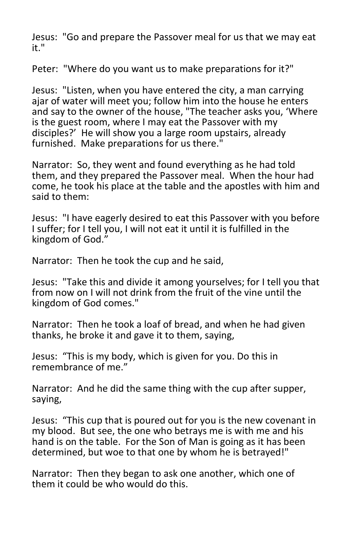Jesus: "Go and prepare the Passover meal for us that we may eat it."

Peter: "Where do you want us to make preparations for it?"

Jesus: "Listen, when you have entered the city, a man carrying ajar of water will meet you; follow him into the house he enters and say to the owner of the house, "The teacher asks you, 'Where is the guest room, where I may eat the Passover with my disciples?' He will show you a large room upstairs, already furnished. Make preparations for us there."

Narrator: So, they went and found everything as he had told them, and they prepared the Passover meal. When the hour had come, he took his place at the table and the apostles with him and said to them:

Jesus: "I have eagerly desired to eat this Passover with you before I suffer; for I tell you, I will not eat it until it is fulfilled in the kingdom of God."

Narrator: Then he took the cup and he said,

Jesus: "Take this and divide it among yourselves; for I tell you that from now on I will not drink from the fruit of the vine until the kingdom of God comes."

Narrator: Then he took a loaf of bread, and when he had given thanks, he broke it and gave it to them, saying,

Jesus: "This is my body, which is given for you. Do this in remembrance of me."

Narrator: And he did the same thing with the cup after supper, saying,

Jesus: "This cup that is poured out for you is the new covenant in my blood. But see, the one who betrays me is with me and his hand is on the table. For the Son of Man is going as it has been determined, but woe to that one by whom he is betrayed!"

Narrator: Then they began to ask one another, which one of them it could be who would do this.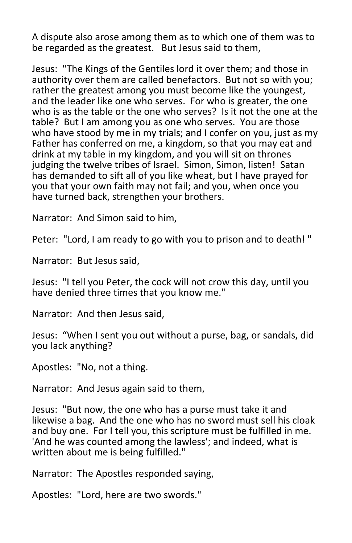A dispute also arose among them as to which one of them was to be regarded as the greatest. But Jesus said to them,

Jesus: "The Kings of the Gentiles lord it over them; and those in authority over them are called benefactors. But not so with you; rather the greatest among you must become like the youngest, and the leader like one who serves. For who is greater, the one who is as the table or the one who serves? Is it not the one at the table? But I am among you as one who serves. You are those who have stood by me in my trials; and I confer on you, just as my Father has conferred on me, a kingdom, so that you may eat and drink at my table in my kingdom, and you will sit on thrones judging the twelve tribes of Israel. Simon, Simon, listen! Satan has demanded to sift all of you like wheat, but I have prayed for you that your own faith may not fail; and you, when once you have turned back, strengthen your brothers.

Narrator: And Simon said to him,

Peter: "Lord, I am ready to go with you to prison and to death! "

Narrator: But Jesus said,

Jesus: "I tell you Peter, the cock will not crow this day, until you have denied three times that you know me."

Narrator: And then Jesus said,

Jesus: "When I sent you out without a purse, bag, or sandals, did you lack anything?

Apostles: "No, not a thing.

Narrator: And Jesus again said to them,

Jesus: "But now, the one who has a purse must take it and likewise a bag. And the one who has no sword must sell his cloak and buy one. For I tell you, this scripture must be fulfilled in me. 'And he was counted among the lawless'; and indeed, what is written about me is being fulfilled."

Narrator: The Apostles responded saying,

Apostles: "Lord, here are two swords."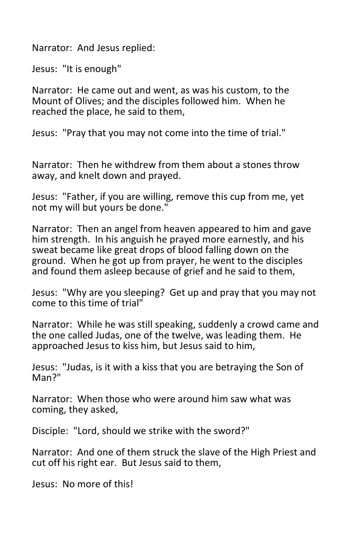Narrator: And Jesus replied:

Jesus: "It is enough"

Narrator: He came out and went, as was his custom, to the Mount of Olives; and the disciples followed him. When he reached the place, he said to them,

Jesus: "Pray that you may not come into the time of trial."

Narrator: Then he withdrew from them about a stones throw away, and knelt down and prayed.

Jesus: "Father, if you are willing, remove this cup from me, yet not my will but yours be done."

Narrator: Then an angel from heaven appeared to him and gave him strength. In his anguish he prayed more earnestly, and his sweat became like great drops of blood falling down on the ground. When he got up from prayer, he went to the disciples and found them asleep because of grief and he said to them,

Jesus: "Why are you sleeping? Get up and pray that you may not come to this time of trial"

Narrator: While he was still speaking, suddenly a crowd came and the one called Judas, one of the twelve, was leading them. He approached Jesus to kiss him, but Jesus said to him,

Jesus: "Judas, is it with a kiss that you are betraying the Son of Man?"

Narrator: When those who were around him saw what was coming, they asked,

Disciple: "Lord, should we strike with the sword?"

Narrator: And one of them struck the slave of the High Priest and cut off his right ear. But Jesus said to them,

Jesus: No more of this!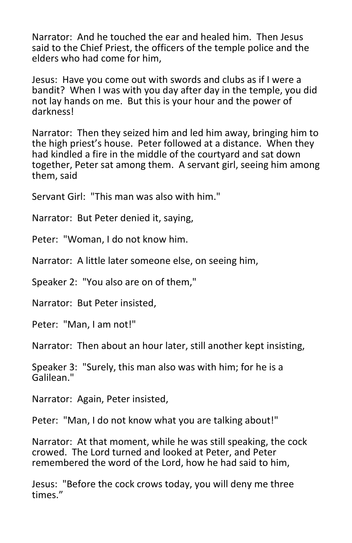Narrator: And he touched the ear and healed him. Then Jesus said to the Chief Priest, the officers of the temple police and the elders who had come for him,

Jesus: Have you come out with swords and clubs as if I were a bandit? When I was with you day after day in the temple, you did not lay hands on me. But this is your hour and the power of darkness!

Narrator: Then they seized him and led him away, bringing him to the high priest's house. Peter followed at a distance. When they had kindled a fire in the middle of the courtyard and sat down together, Peter sat among them. A servant girl, seeing him among them, said

Servant Girl: "This man was also with him."

Narrator: But Peter denied it, saying,

Peter: "Woman, I do not know him.

Narrator: A little later someone else, on seeing him,

Speaker 2: "You also are on of them,"

Narrator: But Peter insisted,

Peter: "Man, I am not!"

Narrator: Then about an hour later, still another kept insisting,

Speaker 3: "Surely, this man also was with him; for he is a Galilean."

Narrator: Again, Peter insisted,

Peter: "Man, I do not know what you are talking about!"

Narrator: At that moment, while he was still speaking, the cock crowed. The Lord turned and looked at Peter, and Peter remembered the word of the Lord, how he had said to him,

Jesus: "Before the cock crows today, you will deny me three times."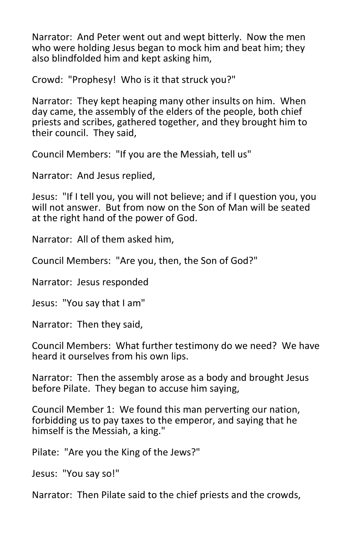Narrator: And Peter went out and wept bitterly. Now the men who were holding Jesus began to mock him and beat him; they also blindfolded him and kept asking him,

Crowd: "Prophesy! Who is it that struck you?"

Narrator: They kept heaping many other insults on him. When day came, the assembly of the elders of the people, both chief priests and scribes, gathered together, and they brought him to their council. They said,

Council Members: "If you are the Messiah, tell us"

Narrator: And Jesus replied,

Jesus: "If I tell you, you will not believe; and if I question you, you will not answer. But from now on the Son of Man will be seated at the right hand of the power of God.

Narrator: All of them asked him,

Council Members: "Are you, then, the Son of God?"

Narrator: Jesus responded

Jesus: "You say that I am"

Narrator: Then they said,

Council Members: What further testimony do we need? We have heard it ourselves from his own lips.

Narrator: Then the assembly arose as a body and brought Jesus before Pilate. They began to accuse him saying,

Council Member 1: We found this man perverting our nation, forbidding us to pay taxes to the emperor, and saying that he himself is the Messiah, a king."

Pilate: "Are you the King of the Jews?"

Jesus: "You say so!"

Narrator: Then Pilate said to the chief priests and the crowds,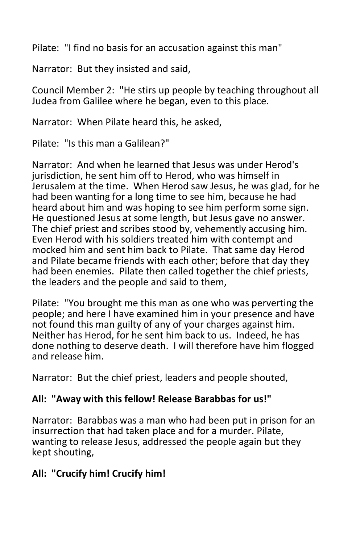Pilate: "I find no basis for an accusation against this man"

Narrator: But they insisted and said,

Council Member 2: "He stirs up people by teaching throughout all Judea from Galilee where he began, even to this place.

Narrator: When Pilate heard this, he asked,

Pilate: "Is this man a Galilean?"

Narrator: And when he learned that Jesus was under Herod's jurisdiction, he sent him off to Herod, who was himself in Jerusalem at the time. When Herod saw Jesus, he was glad, for he had been wanting for a long time to see him, because he had heard about him and was hoping to see him perform some sign. He questioned Jesus at some length, but Jesus gave no answer. The chief priest and scribes stood by, vehemently accusing him. Even Herod with his soldiers treated him with contempt and mocked him and sent him back to Pilate. That same day Herod and Pilate became friends with each other; before that day they had been enemies. Pilate then called together the chief priests, the leaders and the people and said to them,

Pilate: "You brought me this man as one who was perverting the people; and here I have examined him in your presence and have not found this man guilty of any of your charges against him. Neither has Herod, for he sent him back to us. Indeed, he has done nothing to deserve death. I will therefore have him flogged and release him.

Narrator: But the chief priest, leaders and people shouted,

## **All: "Away with this fellow! Release Barabbas for us!"**

Narrator: Barabbas was a man who had been put in prison for an insurrection that had taken place and for a murder. Pilate, wanting to release Jesus, addressed the people again but they kept shouting,

## **All: "Crucify him! Crucify him!**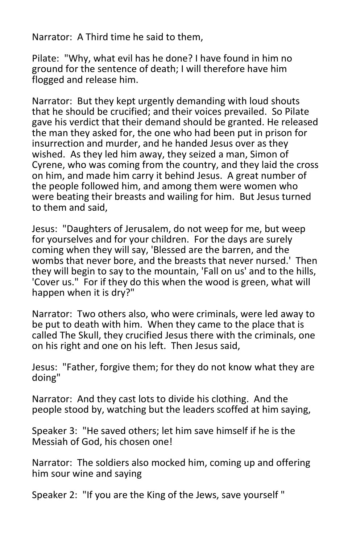Narrator: A Third time he said to them,

Pilate: "Why, what evil has he done? I have found in him no ground for the sentence of death; I will therefore have him flogged and release him.

Narrator: But they kept urgently demanding with loud shouts that he should be crucified; and their voices prevailed. So Pilate gave his verdict that their demand should be granted. He released the man they asked for, the one who had been put in prison for insurrection and murder, and he handed Jesus over as they wished. As they led him away, they seized a man, Simon of Cyrene, who was coming from the country, and they laid the cross on him, and made him carry it behind Jesus. A great number of the people followed him, and among them were women who were beating their breasts and wailing for him. But Jesus turned to them and said,

Jesus: "Daughters of Jerusalem, do not weep for me, but weep for yourselves and for your children. For the days are surely coming when they will say, 'Blessed are the barren, and the wombs that never bore, and the breasts that never nursed.' Then they will begin to say to the mountain, 'Fall on us' and to the hills, 'Cover us." For if they do this when the wood is green, what will happen when it is dry?"

Narrator: Two others also, who were criminals, were led away to be put to death with him. When they came to the place that is called The Skull, they crucified Jesus there with the criminals, one on his right and one on his left. Then Jesus said,

Jesus: "Father, forgive them; for they do not know what they are doing"

Narrator: And they cast lots to divide his clothing. And the people stood by, watching but the leaders scoffed at him saying,

Speaker 3: "He saved others; let him save himself if he is the Messiah of God, his chosen one!

Narrator: The soldiers also mocked him, coming up and offering him sour wine and saying

Speaker 2: "If you are the King of the Jews, save yourself "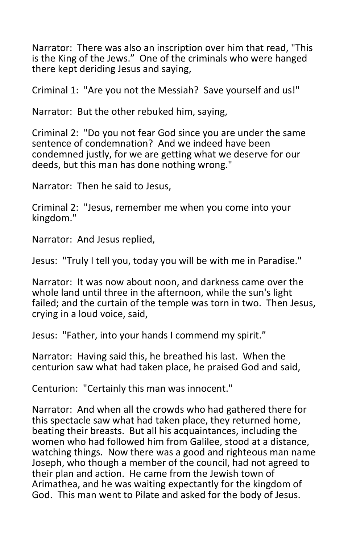Narrator: There was also an inscription over him that read, "This is the King of the Jews." One of the criminals who were hanged there kept deriding Jesus and saying,

Criminal 1: "Are you not the Messiah? Save yourself and us!"

Narrator: But the other rebuked him, saying,

Criminal 2: "Do you not fear God since you are under the same sentence of condemnation? And we indeed have been condemned justly, for we are getting what we deserve for our deeds, but this man has done nothing wrong."

Narrator: Then he said to Jesus,

Criminal 2: "Jesus, remember me when you come into your kingdom."

Narrator: And Jesus replied,

Jesus: "Truly I tell you, today you will be with me in Paradise."

Narrator: It was now about noon, and darkness came over the whole land until three in the afternoon, while the sun's light failed; and the curtain of the temple was torn in two. Then Jesus, crying in a loud voice, said,

Jesus: "Father, into your hands I commend my spirit."

Narrator: Having said this, he breathed his last. When the centurion saw what had taken place, he praised God and said,

Centurion: "Certainly this man was innocent."

Narrator: And when all the crowds who had gathered there for this spectacle saw what had taken place, they returned home, beating their breasts. But all his acquaintances, including the women who had followed him from Galilee, stood at a distance, watching things. Now there was a good and righteous man name Joseph, who though a member of the council, had not agreed to their plan and action. He came from the Jewish town of Arimathea, and he was waiting expectantly for the kingdom of God. This man went to Pilate and asked for the body of Jesus.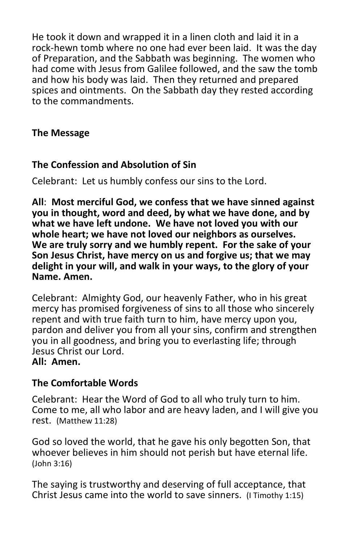He took it down and wrapped it in a linen cloth and laid it in a rock-hewn tomb where no one had ever been laid. It was the day of Preparation, and the Sabbath was beginning. The women who had come with Jesus from Galilee followed, and the saw the tomb and how his body was laid. Then they returned and prepared spices and ointments. On the Sabbath day they rested according to the commandments.

## **The Message**

## **The Confession and Absolution of Sin**

Celebrant: Let us humbly confess our sins to the Lord.

**All**: **Most merciful God, we confess that we have sinned against you in thought, word and deed, by what we have done, and by what we have left undone. We have not loved you with our whole heart; we have not loved our neighbors as ourselves. We are truly sorry and we humbly repent. For the sake of your Son Jesus Christ, have mercy on us and forgive us; that we may delight in your will, and walk in your ways, to the glory of your Name. Amen.**

Celebrant: Almighty God, our heavenly Father, who in his great mercy has promised forgiveness of sins to all those who sincerely repent and with true faith turn to him, have mercy upon you, pardon and deliver you from all your sins, confirm and strengthen you in all goodness, and bring you to everlasting life; through Jesus Christ our Lord.

**All: Amen.**

## **The Comfortable Words**

Celebrant: Hear the Word of God to all who truly turn to him. Come to me, all who labor and are heavy laden, and I will give you rest. (Matthew 11:28)

God so loved the world, that he gave his only begotten Son, that whoever believes in him should not perish but have eternal life. (John 3:16)

The saying is trustworthy and deserving of full acceptance, that Christ Jesus came into the world to save sinners. (I Timothy 1:15)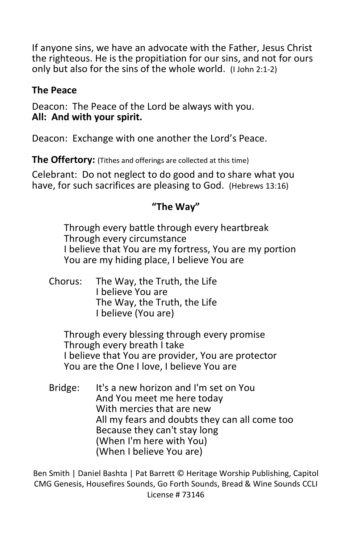If anyone sins, we have an advocate with the Father, Jesus Christ the righteous. He is the propitiation for our sins, and not for ours only but also for the sins of the whole world. (I John 2:1-2)

#### **The Peace**

Deacon:The Peace of the Lord be always with you. **All: And with your spirit.**

Deacon: Exchange with one another the Lord's Peace.

**The Offertory:** (Tithes and offerings are collected at this time)

Celebrant: Do not neglect to do good and to share what you have, for such sacrifices are pleasing to God. (Hebrews 13:16)

## **"The Way"**

Through every battle through every heartbreak Through every circumstance I believe that You are my fortress, You are my portion You are my hiding place, I believe You are

 Chorus: The Way, the Truth, the Life I believe You are The Way, the Truth, the Life I believe (You are)

Through every blessing through every promise Through every breath I take I believe that You are provider, You are protector You are the One I love, I believe You are

 Bridge: It's a new horizon and I'm set on You And You meet me here today With mercies that are new All my fears and doubts they can all come too Because they can't stay long (When I'm here with You) (When I believe You are)

Ben Smith | Daniel Bashta | Pat Barrett © Heritage Worship Publishing, Capitol CMG Genesis, Housefires Sounds, Go Forth Sounds, Bread & Wine Sounds CCLI License # 73146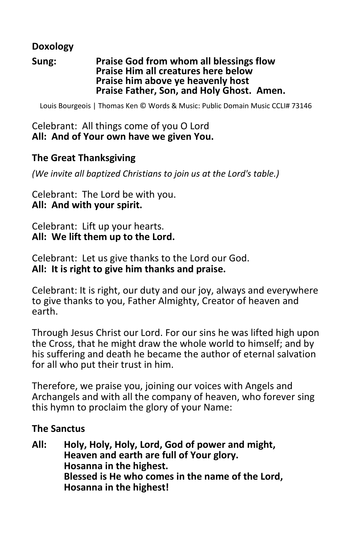## **Doxology**

#### **Sung: Praise God from whom all blessings flow Praise Him all creatures here below Praise him above ye heavenly host Praise Father, Son, and Holy Ghost. Amen.**

Louis Bourgeois | Thomas Ken © Words & Music: Public Domain Music CCLI# 73146

Celebrant: All things come of you O Lord **All: And of Your own have we given You.**

#### **The Great Thanksgiving**

*(We invite all baptized Christians to join us at the Lord's table.)*

Celebrant: The Lord be with you. **All: And with your spirit.**

Celebrant: Lift up your hearts. **All: We lift them up to the Lord.**

Celebrant: Let us give thanks to the Lord our God. **All: It is right to give him thanks and praise.**

Celebrant: It is right, our duty and our joy, always and everywhere to give thanks to you, Father Almighty, Creator of heaven and earth.

Through Jesus Christ our Lord. For our sins he was lifted high upon the Cross, that he might draw the whole world to himself; and by his suffering and death he became the author of eternal salvation for all who put their trust in him.

Therefore, we praise you, joining our voices with Angels and Archangels and with all the company of heaven, who forever sing this hymn to proclaim the glory of your Name:

#### **The Sanctus**

**All: Holy, Holy, Holy, Lord, God of power and might, Heaven and earth are full of Your glory. Hosanna in the highest. Blessed is He who comes in the name of the Lord, Hosanna in the highest!**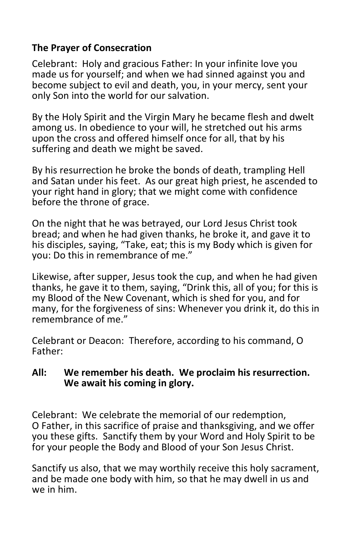## **The Prayer of Consecration**

Celebrant: Holy and gracious Father: In your infinite love you made us for yourself; and when we had sinned against you and become subject to evil and death, you, in your mercy, sent your only Son into the world for our salvation.

By the Holy Spirit and the Virgin Mary he became flesh and dwelt among us. In obedience to your will, he stretched out his arms upon the cross and offered himself once for all, that by his suffering and death we might be saved.

By his resurrection he broke the bonds of death, trampling Hell and Satan under his feet. As our great high priest, he ascended to your right hand in glory; that we might come with confidence before the throne of grace.

On the night that he was betrayed, our Lord Jesus Christ took bread; and when he had given thanks, he broke it, and gave it to his disciples, saying, "Take, eat; this is my Body which is given for you: Do this in remembrance of me."

Likewise, after supper, Jesus took the cup, and when he had given thanks, he gave it to them, saying, "Drink this, all of you; for this is my Blood of the New Covenant, which is shed for you, and for many, for the forgiveness of sins: Whenever you drink it, do this in remembrance of me."

Celebrant or Deacon: Therefore, according to his command, O Father:

# **All: We remember his death. We proclaim his resurrection. We await his coming in glory.**

Celebrant: We celebrate the memorial of our redemption, O Father, in this sacrifice of praise and thanksgiving, and we offer you these gifts. Sanctify them by your Word and Holy Spirit to be for your people the Body and Blood of your Son Jesus Christ.

Sanctify us also, that we may worthily receive this holy sacrament, and be made one body with him, so that he may dwell in us and we in him.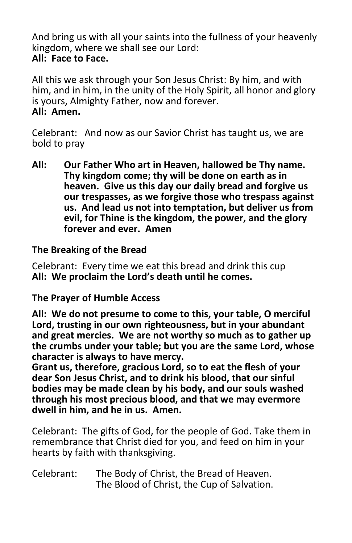And bring us with all your saints into the fullness of your heavenly kingdom, where we shall see our Lord: **All: Face to Face.**

All this we ask through your Son Jesus Christ: By him, and with him, and in him, in the unity of the Holy Spirit, all honor and glory is yours, Almighty Father, now and forever. **All: Amen.**

Celebrant: And now as our Savior Christ has taught us, we are bold to pray

**All: Our Father Who art in Heaven, hallowed be Thy name. Thy kingdom come; thy will be done on earth as in heaven. Give us this day our daily bread and forgive us our trespasses, as we forgive those who trespass against us. And lead us not into temptation, but deliver us from evil, for Thine is the kingdom, the power, and the glory forever and ever. Amen**

#### **The Breaking of the Bread**

Celebrant: Every time we eat this bread and drink this cup **All: We proclaim the Lord's death until he comes.**

**The Prayer of Humble Access**

**All: We do not presume to come to this, your table, O merciful Lord, trusting in our own righteousness, but in your abundant and great mercies. We are not worthy so much as to gather up the crumbs under your table; but you are the same Lord, whose character is always to have mercy.** 

**Grant us, therefore, gracious Lord, so to eat the flesh of your dear Son Jesus Christ, and to drink his blood, that our sinful bodies may be made clean by his body, and our souls washed through his most precious blood, and that we may evermore dwell in him, and he in us. Amen.**

Celebrant: The gifts of God, for the people of God. Take them in remembrance that Christ died for you, and feed on him in your hearts by faith with thanksgiving.

#### Celebrant: The Body of Christ, the Bread of Heaven. The Blood of Christ, the Cup of Salvation.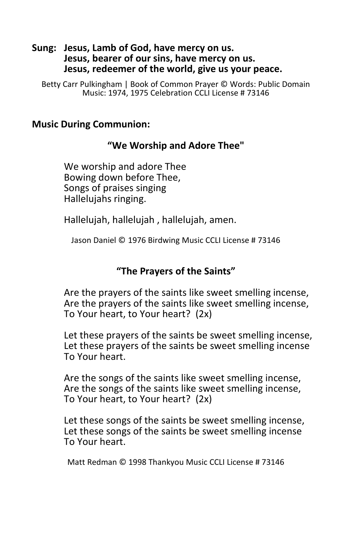#### **Sung: Jesus, Lamb of God, have mercy on us. Jesus, bearer of our sins, have mercy on us. Jesus, redeemer of the world, give us your peace.**

Betty Carr Pulkingham | Book of Common Prayer © Words: Public Domain Music: 1974, 1975 Celebration CCLI License # 73146

#### **Music During Communion:**

#### **"We Worship and Adore Thee"**

We worship and adore Thee Bowing down before Thee, Songs of praises singing Hallelujahs ringing.

Hallelujah, hallelujah , hallelujah, amen.

Jason Daniel © 1976 Birdwing Music CCLI License # 73146

## **"The Prayers of the Saints"**

Are the prayers of the saints like sweet smelling incense, Are the prayers of the saints like sweet smelling incense, To Your heart, to Your heart? (2x)

Let these prayers of the saints be sweet smelling incense, Let these prayers of the saints be sweet smelling incense To Your heart.

Are the songs of the saints like sweet smelling incense, Are the songs of the saints like sweet smelling incense, To Your heart, to Your heart? (2x)

Let these songs of the saints be sweet smelling incense, Let these songs of the saints be sweet smelling incense To Your heart.

Matt Redman © 1998 Thankyou Music CCLI License # 73146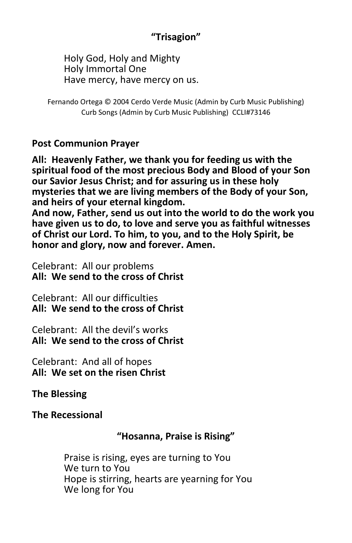## **"Trisagion"**

Holy God, Holy and Mighty Holy Immortal One Have mercy, have mercy on us.

Fernando Ortega © 2004 Cerdo Verde Music (Admin by Curb Music Publishing) Curb Songs (Admin by Curb Music Publishing) CCLI#73146

## **Post Communion Prayer**

**All: Heavenly Father, we thank you for feeding us with the spiritual food of the most precious Body and Blood of your Son our Savior Jesus Christ; and for assuring us in these holy mysteries that we are living members of the Body of your Son, and heirs of your eternal kingdom.** 

**And now, Father, send us out into the world to do the work you have given us to do, to love and serve you as faithful witnesses of Christ our Lord. To him, to you, and to the Holy Spirit, be honor and glory, now and forever. Amen.**

Celebrant: All our problems **All: We send to the cross of Christ**

Celebrant: All our difficulties **All: We send to the cross of Christ**

Celebrant: All the devil's works **All: We send to the cross of Christ**

Celebrant: And all of hopes **All: We set on the risen Christ**

**The Blessing**

**The Recessional** 

## **"Hosanna, Praise is Rising"**

Praise is rising, eyes are turning to You We turn to You Hope is stirring, hearts are yearning for You We long for You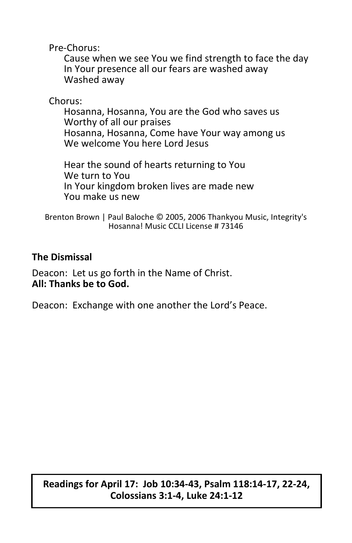Pre-Chorus:

Cause when we see You we find strength to face the day In Your presence all our fears are washed away Washed away

Chorus:

Hosanna, Hosanna, You are the God who saves us Worthy of all our praises Hosanna, Hosanna, Come have Your way among us We welcome You here Lord Jesus

Hear the sound of hearts returning to You We turn to You In Your kingdom broken lives are made new You make us new

Brenton Brown | Paul Baloche © 2005, 2006 Thankyou Music, Integrity's Hosanna! Music CCLI License # 73146

#### **The Dismissal**

Deacon: Let us go forth in the Name of Christ. **All: Thanks be to God.**

Deacon: Exchange with one another the Lord's Peace.

**Readings for April 17: Job 10:34-43, Psalm 118:14-17, 22-24, Colossians 3:1-4, Luke 24:1-12**